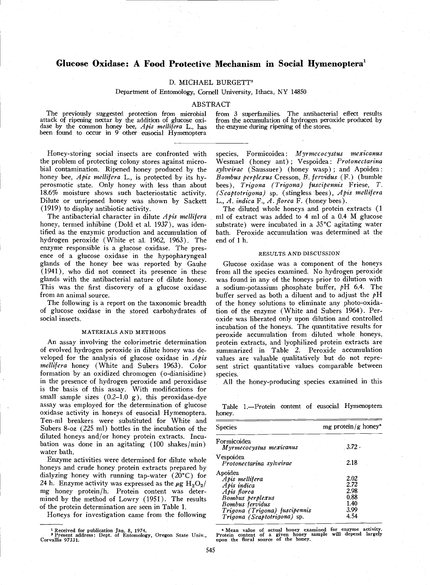# Glucose Oxidase: A Food Protective Mechanism in Social Hymenoptera'

## D. MICHAEL BURGETT<sup>2</sup>

Department of Entomology, Cornell University, Ithaca, NY 14850

### ABSTRACT

attack of ripening nectar by the addition of glucose  $\overline{oxi}$ . from the accumulation of hydrogen perceptions of the common honey bee, *Apis mellifera* L., has the enzyme during ripening of the stores. been found to occur

The previously suggested protection from microbial from 3 superfamilies. The antibacterial effect results<br>tack of ripening nectar by the addition of glucose oxi- from the accumulation of hydrogen peroxide produced by

Honey-storing social insects are confronted with the problem of protecting colony stores against microbial contamination. Ripened honey produced by the honey bee, Apis mellifera L., is protected by its hyperosmotic state. Only honey with less than about 18.6% moisture shows such bacteriostatic activity. Dilute or unripened honey was shown by Sackett (1919) to display antibiotic activity.

The antibacterial character in dilute  $A$ pis mellifera honey, termed inhibine (Dold et al. 1937), was identified as the enzymic production and accumulation of hydrogen peroxide (White et al. 1962, 1963). The enzyme responsible is a glucose oxidase. The pres-<br>ence of a glucose oxidase in the hypopharyngeal glands of the honey bee was reported by Gauhe (1941), who did not connect its presence in these glands with the antibacterial nature of dilute honey. This was the first discovery of a glucose oxidase from an animal source.

The following is a report on the taxonomic breadth of glucose oxidase in the stored carbohydrates of social insects.

#### MATERIALS AND METHODS

An assay involving the colorimetric determination of evolved hydrogen peroxide in dilute honey was developed for the analysis of glucose oxidase in  $A$ *pis* mellifera honey (White and Subers 1963). Color formation by an oxidized chromogen (o-dianisidine) in the presence of hydrogen peroxide and peroxidase is the basis of this assay. With modifications for small sample sizes  $(0.2-1.0 \text{ g})$ , this peroxidase-dye assay was employed for the determination of glucose oxidase activity in honeys of eusocial Hymenoptera. Ten-mi breakers were substituted for White and Subers 8-oz (225 ml) bottles in the incubation of the diluted honeys and/or honey protein extracts. Incubation was done in an agitating  $(100 \text{ shakes/min})$ water bath.

Enzyme activities were determined for dilute whole honeys and crude honey protein extracts prepared by dialyzing honey with running tap-water (20°C) for 24 h. Enzyme activity was expressed as the  $\mu$ g H<sub>2</sub>O<sub>2</sub>/ mg honey protein/h. Protein content was determined by the method of Lowry (1951). The results of the protein determination are seen in Table 1.

Honeys for investigation came from the following

Formicoidea: Myrmecocystus mexicanus Wesmael (honey ant); Vespoidea: *Protonectarina* sylveirae (Saussuer) (honey wasp); and Apoidea: Bombus perplezus Cresson, B. fervidus (F.) (bumble bees), Trigona (Trigona) fuscipennis Friese, T.  $(Scaptotrigona)$  sp. (stingless bees), Apis mellifera L., A. indica F., A. florea F. (honey bees).

The diluted whole honeys and protein extracts (1 ml of extract was added to 4 ml of a 0.4 M glucose substrate) were incubated in a 35°C agitating water bath. Peroxide accumulation was determined at the end of 1 h.

#### RESULTS AND DiSCUSSION

Glucose oxidase was a component of the honeys from all the species examined. No hydrogen peroxide was found in any of the honeys prior to dilution with a sodium-potassium phosphate buffer,  $pH$  6.4. The buffer served as both a diluent and to adjust the  $pH$ of the honey solutions to eliminate any photo-oxidation of the enzyme (White and Subers 1964). Peroxide was liberated only upon dilution and controlled incubation of the honeys. The quantitative results for peroxide accumulation from diluted whole honeys, protein extracts, and lyophilized protein extracts are summarized in Table 2. Peroxide accumulation values are valuable qualitatively but do not represent strict quantitative values comparable between species.

All the honey-producing species examined in this

Table 1.-Protein content of eusocial Hymenoptera honey.

| <b>Species</b>                                                                                                                                                 | mg protein/g honey <sup>a</sup>                      |  |
|----------------------------------------------------------------------------------------------------------------------------------------------------------------|------------------------------------------------------|--|
| Formicoidea<br>Myrmecocystus mexicanus                                                                                                                         | $3.72 -$                                             |  |
| Vespoidea<br>Protonectarina sylveirae                                                                                                                          | 2.18                                                 |  |
| Apoidea<br>Apis mellifera<br>Apis indica<br>Apis florea<br>Bombus perplexus<br>Bombus fervidus<br>Trigona (Trigona) fuscipennis<br>Trigona (Scaptotrigona) sp. | 2.02<br>2.72<br>2.98<br>0.88<br>1.40<br>3.99<br>4.54 |  |

° Mean value of actual honey examined for enzyme activity. Protein content of a given honey sample will depend largely upon the floral source of the honey.

<sup>&</sup>lt;sup>1</sup> Received for publication Jan. 8, 1974.<br><sup>2</sup> Present address: Dept. of Entomology, Oregon State Univ., P<br>Corvallis 97331.